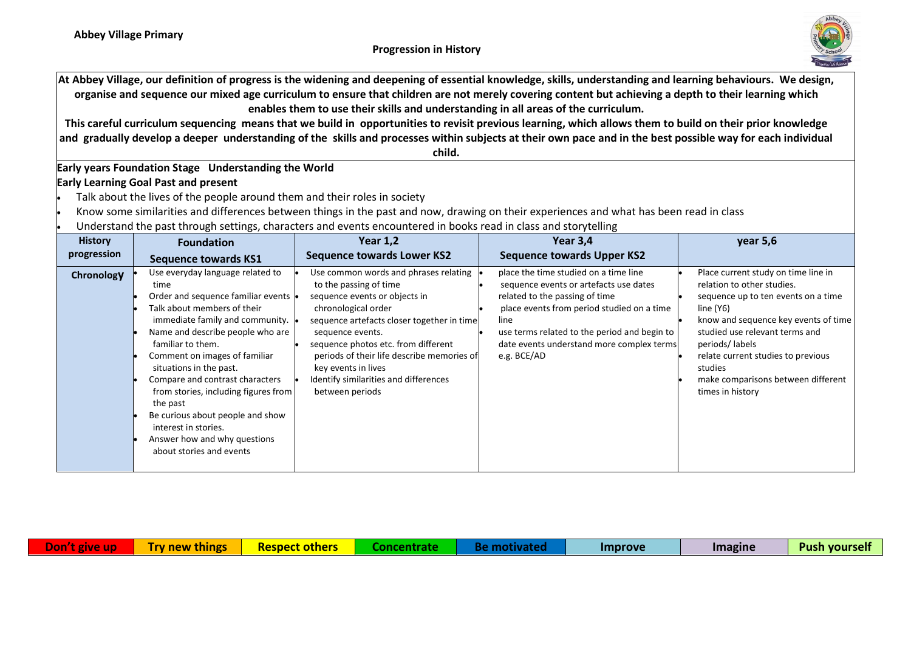

**At Abbey Village, our definition of progress is the widening and deepening of essential knowledge, skills, understanding and learning behaviours. We design, organise and sequence our mixed age curriculum to ensure that children are not merely covering content but achieving a depth to their learning which enables them to use their skills and understanding in all areas of the curriculum.**

**This careful curriculum sequencing means that we build in opportunities to revisit previous learning, which allows them to build on their prior knowledge and gradually develop a deeper understanding of the skills and processes within subjects at their own pace and in the best possible way for each individual** 

**child.** 

#### **Early years Foundation Stage Understanding the World Early Learning Goal Past and present**

- Talk about the lives of the people around them and their roles in society
- Know some similarities and differences between things in the past and now, drawing on their experiences and what has been read in class
- Understand the past through settings, characters and events encountered in books read in class and storytelling

| <b>History</b> | <b>Foundation</b>                                                                                                                                                                                                                                                                                                                                                                                                                                                                      | <b>Year 1,2</b>                                                                                                                                                                                                                                                                                                                                                   | Year 3,4                                                                                                                                                                                                                                                                            | year 5,6                                                                                                                                                                                                                                                                                                                    |
|----------------|----------------------------------------------------------------------------------------------------------------------------------------------------------------------------------------------------------------------------------------------------------------------------------------------------------------------------------------------------------------------------------------------------------------------------------------------------------------------------------------|-------------------------------------------------------------------------------------------------------------------------------------------------------------------------------------------------------------------------------------------------------------------------------------------------------------------------------------------------------------------|-------------------------------------------------------------------------------------------------------------------------------------------------------------------------------------------------------------------------------------------------------------------------------------|-----------------------------------------------------------------------------------------------------------------------------------------------------------------------------------------------------------------------------------------------------------------------------------------------------------------------------|
| progression    | <b>Sequence towards KS1</b>                                                                                                                                                                                                                                                                                                                                                                                                                                                            | <b>Sequence towards Lower KS2</b>                                                                                                                                                                                                                                                                                                                                 | <b>Sequence towards Upper KS2</b>                                                                                                                                                                                                                                                   |                                                                                                                                                                                                                                                                                                                             |
| Chronology     | Use everyday language related to<br>time<br>Order and sequence familiar events .<br>Talk about members of their<br>immediate family and community.<br>Name and describe people who are<br>familiar to them.<br>Comment on images of familiar<br>situations in the past.<br>Compare and contrast characters<br>from stories, including figures from<br>the past<br>Be curious about people and show<br>interest in stories.<br>Answer how and why questions<br>about stories and events | Use common words and phrases relating<br>to the passing of time<br>sequence events or objects in<br>chronological order<br>sequence artefacts closer together in time<br>sequence events.<br>sequence photos etc. from different<br>periods of their life describe memories of<br>key events in lives<br>Identify similarities and differences<br>between periods | place the time studied on a time line<br>sequence events or artefacts use dates<br>related to the passing of time<br>place events from period studied on a time<br>line<br>use terms related to the period and begin to<br>date events understand more complex terms<br>e.g. BCE/AD | Place current study on time line in<br>relation to other studies.<br>sequence up to ten events on a time<br>line(Y6)<br>know and sequence key events of time<br>studied use relevant terms and<br>periods/labels<br>relate current studies to previous<br>studies<br>make comparisons between different<br>times in history |

| Don't give<br><b>COMPANY</b><br>uw | new things<br>Trv | <b>Respect others</b> | łρ | <b>Improve</b> | Imagine | <b>Push yourself</b> |
|------------------------------------|-------------------|-----------------------|----|----------------|---------|----------------------|
|                                    |                   |                       |    |                |         |                      |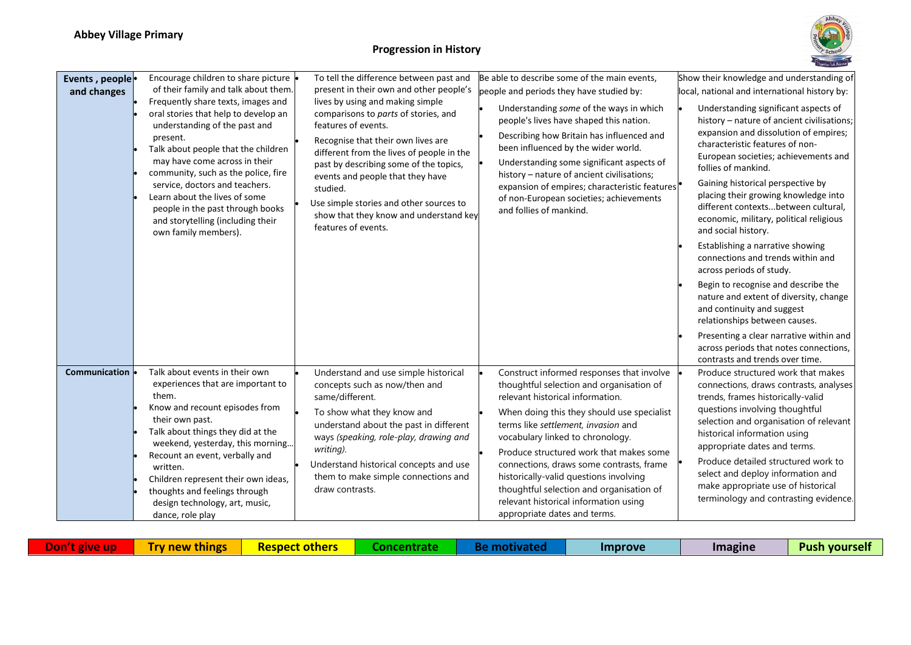

| Events, people-<br>and changes | Encourage children to share picture .<br>of their family and talk about them.<br>Frequently share texts, images and<br>oral stories that help to develop an<br>understanding of the past and<br>present.<br>Talk about people that the children<br>may have come across in their<br>community, such as the police, fire<br>service, doctors and teachers.<br>Learn about the lives of some<br>people in the past through books<br>and storytelling (including their<br>own family members). | To tell the difference between past and<br>present in their own and other people's<br>lives by using and making simple<br>comparisons to parts of stories, and<br>features of events.<br>Recognise that their own lives are<br>different from the lives of people in the<br>past by describing some of the topics,<br>events and people that they have<br>studied.<br>Use simple stories and other sources to<br>show that they know and understand key<br>features of events. | Be able to describe some of the main events,<br>people and periods they have studied by:<br>Understanding some of the ways in which<br>people's lives have shaped this nation.<br>Describing how Britain has influenced and<br>been influenced by the wider world.<br>Understanding some significant aspects of<br>history - nature of ancient civilisations;<br>expansion of empires; characteristic features<br>of non-European societies; achievements<br>and follies of mankind.                     | Show their knowledge and understanding of<br>local, national and international history by:<br>Understanding significant aspects of<br>history - nature of ancient civilisations;<br>expansion and dissolution of empires;<br>characteristic features of non-<br>European societies; achievements and<br>follies of mankind.<br>Gaining historical perspective by<br>placing their growing knowledge into<br>different contextsbetween cultural,<br>economic, military, political religious<br>and social history.<br>Establishing a narrative showing<br>connections and trends within and<br>across periods of study.<br>Begin to recognise and describe the<br>nature and extent of diversity, change<br>and continuity and suggest<br>relationships between causes.<br>Presenting a clear narrative within and<br>across periods that notes connections,<br>contrasts and trends over time. |
|--------------------------------|---------------------------------------------------------------------------------------------------------------------------------------------------------------------------------------------------------------------------------------------------------------------------------------------------------------------------------------------------------------------------------------------------------------------------------------------------------------------------------------------|--------------------------------------------------------------------------------------------------------------------------------------------------------------------------------------------------------------------------------------------------------------------------------------------------------------------------------------------------------------------------------------------------------------------------------------------------------------------------------|----------------------------------------------------------------------------------------------------------------------------------------------------------------------------------------------------------------------------------------------------------------------------------------------------------------------------------------------------------------------------------------------------------------------------------------------------------------------------------------------------------|------------------------------------------------------------------------------------------------------------------------------------------------------------------------------------------------------------------------------------------------------------------------------------------------------------------------------------------------------------------------------------------------------------------------------------------------------------------------------------------------------------------------------------------------------------------------------------------------------------------------------------------------------------------------------------------------------------------------------------------------------------------------------------------------------------------------------------------------------------------------------------------------|
| Communication                  | Talk about events in their own<br>experiences that are important to<br>them.<br>Know and recount episodes from<br>their own past.<br>Talk about things they did at the<br>weekend, yesterday, this morning<br>Recount an event, verbally and<br>written.<br>Children represent their own ideas,<br>thoughts and feelings through<br>design technology, art, music,<br>dance, role play                                                                                                      | Understand and use simple historical<br>concepts such as now/then and<br>same/different.<br>To show what they know and<br>understand about the past in different<br>ways (speaking, role-play, drawing and<br>writing).<br>Understand historical concepts and use<br>them to make simple connections and<br>draw contrasts.                                                                                                                                                    | Construct informed responses that involve<br>thoughtful selection and organisation of<br>relevant historical information.<br>When doing this they should use specialist<br>terms like settlement, invasion and<br>vocabulary linked to chronology.<br>Produce structured work that makes some<br>connections, draws some contrasts, frame<br>historically-valid questions involving<br>thoughtful selection and organisation of<br>relevant historical information using<br>appropriate dates and terms. | Produce structured work that makes<br>connections, draws contrasts, analyses<br>trends, frames historically-valid<br>questions involving thoughtful<br>selection and organisation of relevant<br>historical information using<br>appropriate dates and terms.<br>Produce detailed structured work to<br>select and deploy information and<br>make appropriate use of historical<br>terminology and contrasting evidence.                                                                                                                                                                                                                                                                                                                                                                                                                                                                       |

**Don't give up Try new things** Respect others Concentrate Be motivated Improve 1 Imagine Push yourself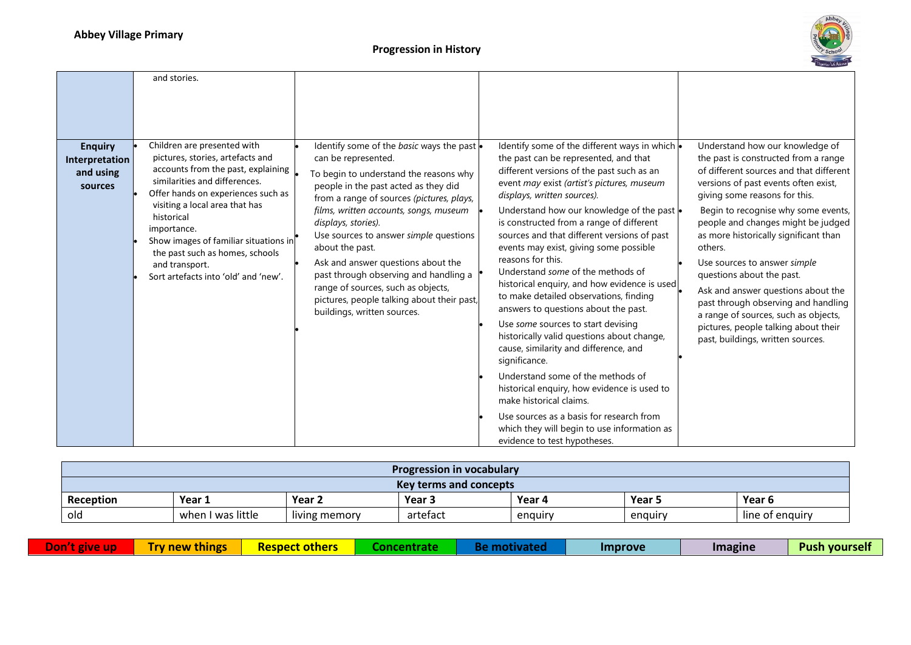

| <b>Enquiry</b>                         | and stories.<br>Children are presented with                                                                                                                                                                                                                                                                                                        | Identify some of the basic ways the past .                                                                                                                                                                                                                                                                                                                                                                                                                                         | Identify some of the different ways in which .                                                                                                                                                                                                                                                                                                                                                                                                                                                                                                                                                                                                                                                                                                                                                                                                                                                                                         | Understand how our knowledge of                                                                                                                                                                                                                                                                                                                                                                                                                                                                                                                          |
|----------------------------------------|----------------------------------------------------------------------------------------------------------------------------------------------------------------------------------------------------------------------------------------------------------------------------------------------------------------------------------------------------|------------------------------------------------------------------------------------------------------------------------------------------------------------------------------------------------------------------------------------------------------------------------------------------------------------------------------------------------------------------------------------------------------------------------------------------------------------------------------------|----------------------------------------------------------------------------------------------------------------------------------------------------------------------------------------------------------------------------------------------------------------------------------------------------------------------------------------------------------------------------------------------------------------------------------------------------------------------------------------------------------------------------------------------------------------------------------------------------------------------------------------------------------------------------------------------------------------------------------------------------------------------------------------------------------------------------------------------------------------------------------------------------------------------------------------|----------------------------------------------------------------------------------------------------------------------------------------------------------------------------------------------------------------------------------------------------------------------------------------------------------------------------------------------------------------------------------------------------------------------------------------------------------------------------------------------------------------------------------------------------------|
| Interpretation<br>and using<br>sources | pictures, stories, artefacts and<br>accounts from the past, explaining<br>similarities and differences.<br>Offer hands on experiences such as<br>visiting a local area that has<br>historical<br>importance.<br>Show images of familiar situations in<br>the past such as homes, schools<br>and transport.<br>Sort artefacts into 'old' and 'new'. | can be represented.<br>To begin to understand the reasons why<br>people in the past acted as they did<br>from a range of sources (pictures, plays,<br>films, written accounts, songs, museum<br>displays, stories).<br>Use sources to answer simple questions<br>about the past.<br>Ask and answer questions about the<br>past through observing and handling a<br>range of sources, such as objects,<br>pictures, people talking about their past,<br>buildings, written sources. | the past can be represented, and that<br>different versions of the past such as an<br>event may exist (artist's pictures, museum<br>displays, written sources).<br>Understand how our knowledge of the past .<br>is constructed from a range of different<br>sources and that different versions of past<br>events may exist, giving some possible<br>reasons for this.<br>Understand some of the methods of<br>historical enquiry, and how evidence is used<br>to make detailed observations, finding<br>answers to questions about the past.<br>Use some sources to start devising<br>historically valid questions about change,<br>cause, similarity and difference, and<br>significance.<br>Understand some of the methods of<br>historical enquiry, how evidence is used to<br>make historical claims.<br>Use sources as a basis for research from<br>which they will begin to use information as<br>evidence to test hypotheses. | the past is constructed from a range<br>of different sources and that different<br>versions of past events often exist,<br>giving some reasons for this.<br>Begin to recognise why some events,<br>people and changes might be judged<br>as more historically significant than<br>others.<br>Use sources to answer simple<br>questions about the past.<br>Ask and answer questions about the<br>past through observing and handling<br>a range of sources, such as objects,<br>pictures, people talking about their<br>past, buildings, written sources. |

| <b>Progression in vocabulary</b> |                                                                                         |  |  |  |  |  |  |  |
|----------------------------------|-----------------------------------------------------------------------------------------|--|--|--|--|--|--|--|
| <b>Key terms and concepts</b>    |                                                                                         |  |  |  |  |  |  |  |
| Reception                        | Year 5<br>Year 2<br>Year 3<br>Year 6<br>Year 4<br>Year 1                                |  |  |  |  |  |  |  |
| old                              | living memory<br>when I was little<br>artefact<br>line of enguiry<br>enguirv<br>enguiry |  |  |  |  |  |  |  |

| <b>COLLEGE</b><br>. <b>.</b> .<br>.<br><b>Contract</b><br>. .<br><u>. soer</u><br>ке | <b>cothers</b> |  | Improve | <b>Imagine</b> | Push<br><b>Ash vourse</b> |
|--------------------------------------------------------------------------------------|----------------|--|---------|----------------|---------------------------|
|--------------------------------------------------------------------------------------|----------------|--|---------|----------------|---------------------------|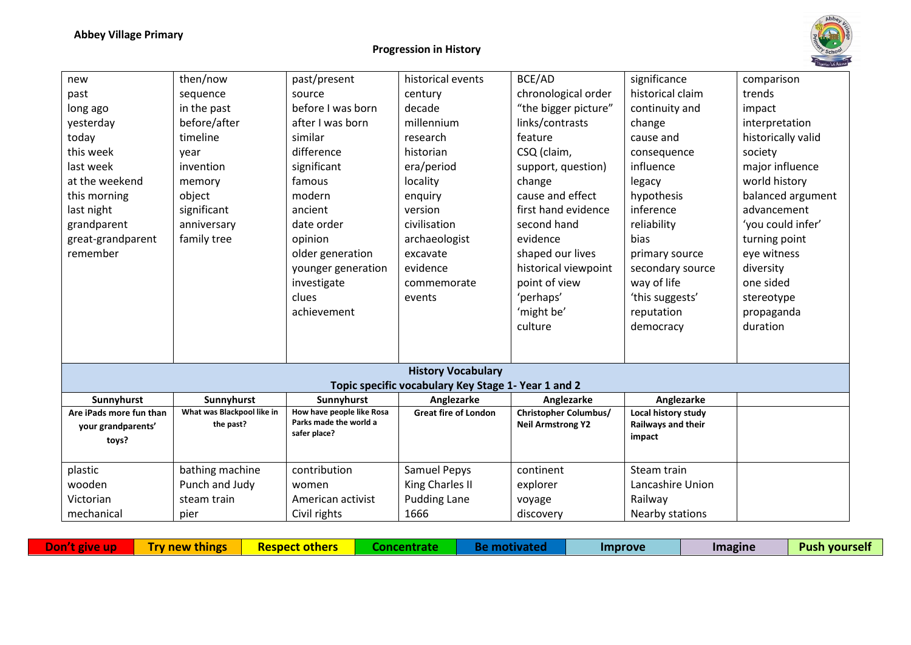

| new                     | then/now                   | past/present                           | historical events                                   | BCE/AD                       | significance        | comparison         |
|-------------------------|----------------------------|----------------------------------------|-----------------------------------------------------|------------------------------|---------------------|--------------------|
| past                    | sequence                   | source                                 | century                                             | chronological order          | historical claim    | trends             |
| long ago                | in the past                | before I was born                      | decade                                              | "the bigger picture"         | continuity and      | impact             |
| yesterday               | before/after               | after I was born                       | millennium                                          | links/contrasts              | change              | interpretation     |
| today                   | timeline                   | similar                                | research                                            | feature                      | cause and           | historically valid |
| this week               | vear                       | difference                             | historian                                           | CSQ (claim,                  | consequence         | society            |
| last week               | invention                  | significant                            | era/period                                          | support, question)           | influence           | major influence    |
| at the weekend          | memory                     | famous                                 | locality                                            | change                       | legacy              | world history      |
| this morning            | object                     | modern                                 | enquiry                                             | cause and effect             | hypothesis          | balanced argument  |
| last night              | significant                | ancient                                | version                                             | first hand evidence          | inference           | advancement        |
| grandparent             | anniversary                | date order                             | civilisation                                        | second hand                  | reliability         | 'you could infer'  |
| great-grandparent       | family tree                | opinion                                | archaeologist                                       | evidence                     | bias                | turning point      |
| remember                |                            | older generation                       | excavate                                            | shaped our lives             | primary source      | eye witness        |
|                         |                            | younger generation                     | evidence                                            | historical viewpoint         | secondary source    | diversity          |
|                         |                            | investigate                            | commemorate                                         | point of view                | way of life         | one sided          |
|                         |                            | clues                                  | events                                              | 'perhaps'                    | 'this suggests'     | stereotype         |
|                         |                            | achievement                            |                                                     | 'might be'                   | reputation          | propaganda         |
|                         |                            |                                        |                                                     | culture                      | democracy           | duration           |
|                         |                            |                                        |                                                     |                              |                     |                    |
|                         |                            |                                        |                                                     |                              |                     |                    |
|                         |                            |                                        | <b>History Vocabulary</b>                           |                              |                     |                    |
|                         |                            |                                        | Topic specific vocabulary Key Stage 1- Year 1 and 2 |                              |                     |                    |
| Sunnyhurst              | Sunnyhurst                 | Sunnyhurst                             | Anglezarke                                          | Anglezarke                   | Anglezarke          |                    |
| Are iPads more fun than | What was Blackpool like in | How have people like Rosa              | <b>Great fire of London</b>                         | <b>Christopher Columbus/</b> | Local history study |                    |
| your grandparents'      | the past?                  | Parks made the world a<br>safer place? |                                                     | <b>Neil Armstrong Y2</b>     | Railways and their  |                    |
| toys?                   |                            |                                        |                                                     |                              | impact              |                    |
|                         |                            |                                        |                                                     |                              |                     |                    |
| plastic                 | bathing machine            | contribution                           | Samuel Pepys                                        | continent                    | Steam train         |                    |
| wooden                  | Punch and Judy             | women                                  | King Charles II                                     | explorer                     | Lancashire Union    |                    |
| Victorian               | steam train                | American activist                      | <b>Pudding Lane</b>                                 | voyage                       | Railway             |                    |
| mechanical              | pier                       | Civil rights                           | 1666                                                | discovery                    | Nearby stations     |                    |

| <b>COLLAGE</b><br><b>TAM</b> | dealers and the control<br><b><i><u>BACKARD</u></i></b><br>гv | $\overline{\phantom{a}}$ Dack $\overline{\phantom{a}}$<br>other - |  |  | <b>Improve</b> | Imagine | <b>Push voursel.</b> |
|------------------------------|---------------------------------------------------------------|-------------------------------------------------------------------|--|--|----------------|---------|----------------------|
|------------------------------|---------------------------------------------------------------|-------------------------------------------------------------------|--|--|----------------|---------|----------------------|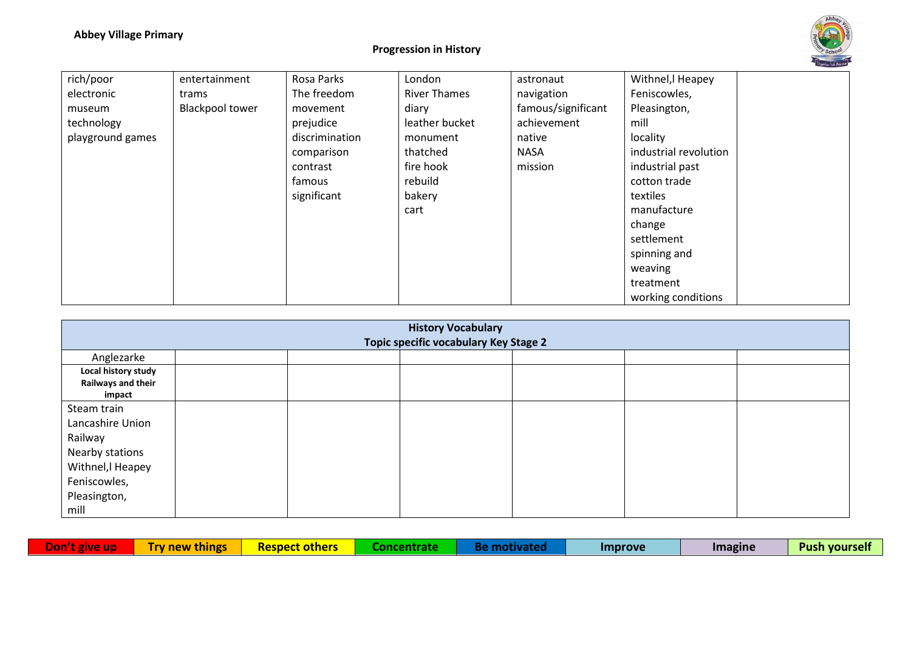

| rich/poor        | entertainment          | Rosa Parks     | London              | astronaut          | Withnel, I Heapey     |
|------------------|------------------------|----------------|---------------------|--------------------|-----------------------|
| electronic       | trams                  | The freedom    | <b>River Thames</b> | navigation         | Feniscowles,          |
| museum           | <b>Blackpool tower</b> | movement       | diary               | famous/significant | Pleasington,          |
| technology       |                        | prejudice      | leather bucket      | achievement        | mill                  |
| playground games |                        | discrimination | monument            | native             | locality              |
|                  |                        | comparison     | thatched            | <b>NASA</b>        | industrial revolution |
|                  |                        | contrast       | fire hook           | mission            | industrial past       |
|                  |                        | famous         | rebuild             |                    | cotton trade          |
|                  |                        | significant    | bakery              |                    | textiles              |
|                  |                        |                | cart                |                    | manufacture           |
|                  |                        |                |                     |                    | change                |
|                  |                        |                |                     |                    | settlement            |
|                  |                        |                |                     |                    | spinning and          |
|                  |                        |                |                     |                    | weaving               |
|                  |                        |                |                     |                    | treatment             |
|                  |                        |                |                     |                    | working conditions    |

| <b>History Vocabulary</b><br>Topic specific vocabulary Key Stage 2 |  |  |  |  |  |  |  |
|--------------------------------------------------------------------|--|--|--|--|--|--|--|
| Anglezarke                                                         |  |  |  |  |  |  |  |
| Local history study<br>Railways and their<br>impact                |  |  |  |  |  |  |  |
| Steam train                                                        |  |  |  |  |  |  |  |
| Lancashire Union                                                   |  |  |  |  |  |  |  |
| Railway                                                            |  |  |  |  |  |  |  |
| Nearby stations                                                    |  |  |  |  |  |  |  |
| Withnel, I Heapey                                                  |  |  |  |  |  |  |  |
| Feniscowles,                                                       |  |  |  |  |  |  |  |
| Pleasington,                                                       |  |  |  |  |  |  |  |
| mill                                                               |  |  |  |  |  |  |  |

| <b>COLLA</b><br><b>Contract Contract</b> | rw<br>. . | <u> 2005 - 2006 - 2006 - 2006 - 2006 - 2006 - 2006 - 2006 - 2006 - 2006 - 2006 - 2006 - 2006 - 2006 - 2006 - 200</u><br>.<br>. | . |  | nrove<br>IM | Imagine<br>--- | Push<br>ווחש<br>30 H<br>ествен. |
|------------------------------------------|-----------|--------------------------------------------------------------------------------------------------------------------------------|---|--|-------------|----------------|---------------------------------|
|------------------------------------------|-----------|--------------------------------------------------------------------------------------------------------------------------------|---|--|-------------|----------------|---------------------------------|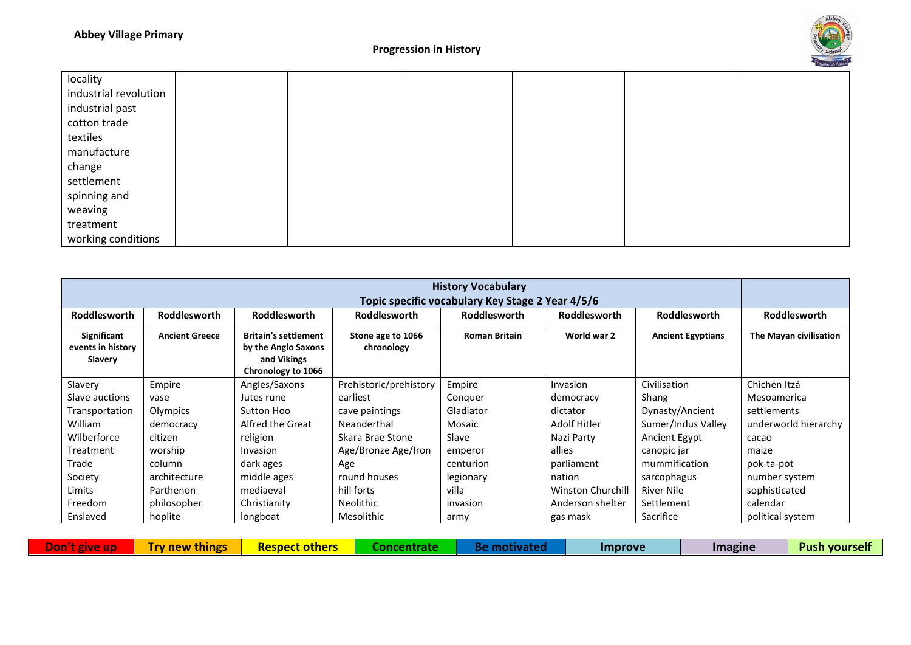

| locality              |  |  |  |
|-----------------------|--|--|--|
| industrial revolution |  |  |  |
| industrial past       |  |  |  |
| cotton trade          |  |  |  |
| textiles              |  |  |  |
| manufacture           |  |  |  |
| change                |  |  |  |
| settlement            |  |  |  |
| spinning and          |  |  |  |
| weaving               |  |  |  |
| treatment             |  |  |  |
| working conditions    |  |  |  |

| <b>History Vocabulary</b>                                 |                       |                                                                                         |                                 |                      |                          |                          |                        |
|-----------------------------------------------------------|-----------------------|-----------------------------------------------------------------------------------------|---------------------------------|----------------------|--------------------------|--------------------------|------------------------|
| Topic specific vocabulary Key Stage 2 Year 4/5/6          |                       |                                                                                         |                                 |                      |                          |                          |                        |
| <b>Roddlesworth</b>                                       | <b>Roddlesworth</b>   | <b>Roddlesworth</b>                                                                     | <b>Roddlesworth</b>             | <b>Roddlesworth</b>  | <b>Roddlesworth</b>      | <b>Roddlesworth</b>      | <b>Roddlesworth</b>    |
| <b>Significant</b><br>events in history<br><b>Slavery</b> | <b>Ancient Greece</b> | <b>Britain's settlement</b><br>by the Anglo Saxons<br>and Vikings<br>Chronology to 1066 | Stone age to 1066<br>chronology | <b>Roman Britain</b> | World war 2              | <b>Ancient Egyptians</b> | The Mayan civilisation |
| Slavery                                                   | Empire                | Angles/Saxons                                                                           | Prehistoric/prehistory          | Empire               | Invasion                 | Civilisation             | Chichén Itzá           |
| Slave auctions                                            | vase                  | Jutes rune                                                                              | earliest                        | Conquer              | democracy                | Shang                    | Mesoamerica            |
| Transportation                                            | Olympics              | Sutton Hoo                                                                              | cave paintings                  | Gladiator            | dictator                 | Dynasty/Ancient          | settlements            |
| William                                                   | democracy             | Alfred the Great                                                                        | Neanderthal                     | Mosaic               | Adolf Hitler             | Sumer/Indus Valley       | underworld hierarchy   |
| Wilberforce                                               | citizen               | religion                                                                                | Skara Brae Stone                | Slave                | Nazi Party               | <b>Ancient Egypt</b>     | cacao                  |
| Treatment                                                 | worship               | <b>Invasion</b>                                                                         | Age/Bronze Age/Iron             | emperor              | allies                   | canopic jar              | maize                  |
| Trade                                                     | column                | dark ages                                                                               | Age                             | centurion            | parliament               | mummification            | pok-ta-pot             |
| Society                                                   | architecture          | middle ages                                                                             | round houses                    | legionary            | nation                   | sarcophagus              | number system          |
| Limits                                                    | Parthenon             | mediaeval                                                                               | hill forts                      | villa                | <b>Winston Churchill</b> | <b>River Nile</b>        | sophisticated          |
| Freedom                                                   | philosopher           | Christianity                                                                            | <b>Neolithic</b>                | invasion             | Anderson shelter         | Settlement               | calendar               |
| Enslaved                                                  | hoplite               | longboat                                                                                | Mesolithic                      | army                 | gas mask                 | Sacrifice                | political system       |

| Don't give up | Try new things <b>th</b> | <b>Respect others</b> | Concentrate Be motivated |  | <i><u><b>Improve</b></u></i> | Imagine | <b>Push yourself</b> |
|---------------|--------------------------|-----------------------|--------------------------|--|------------------------------|---------|----------------------|
|---------------|--------------------------|-----------------------|--------------------------|--|------------------------------|---------|----------------------|